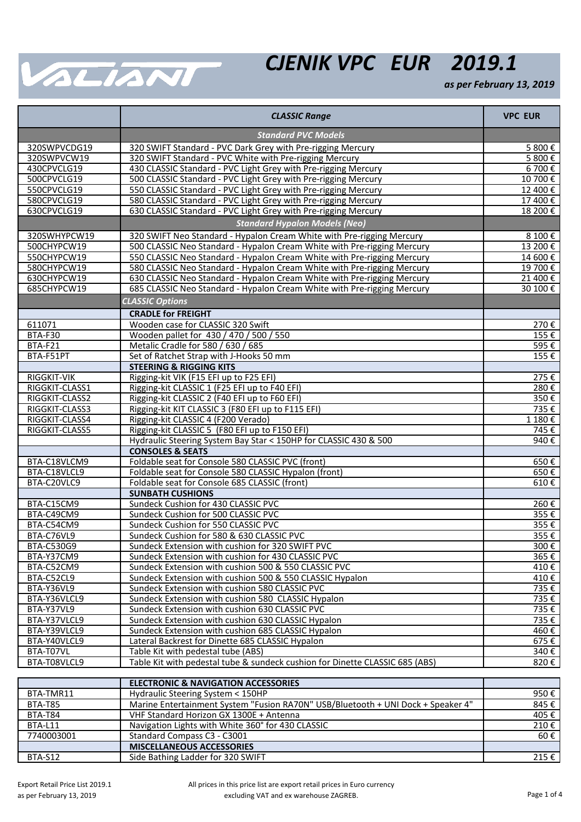

## *CJENIK VPC EUR 2019.1*

## *as per February 13, 2019*

|                    | <b>CLASSIC Range</b>                                                             | <b>VPC EUR</b>     |
|--------------------|----------------------------------------------------------------------------------|--------------------|
|                    | <b>Standard PVC Models</b>                                                       |                    |
| 320SWPVCDG19       | 320 SWIFT Standard - PVC Dark Grey with Pre-rigging Mercury                      | 5 800 €            |
| 320SWPVCW19        | 320 SWIFT Standard - PVC White with Pre-rigging Mercury                          | 5 800€             |
| 430CPVCLG19        | 430 CLASSIC Standard - PVC Light Grey with Pre-rigging Mercury                   | 6 700 €            |
| 500CPVCLG19        | 500 CLASSIC Standard - PVC Light Grey with Pre-rigging Mercury                   | 10 700€            |
| 550CPVCLG19        | 550 CLASSIC Standard - PVC Light Grey with Pre-rigging Mercury                   | 12 400 €           |
| 580CPVCLG19        | 580 CLASSIC Standard - PVC Light Grey with Pre-rigging Mercury                   | 17 400€            |
| 630CPVCLG19        | 630 CLASSIC Standard - PVC Light Grey with Pre-rigging Mercury                   | 18 200 €           |
|                    | <b>Standard Hypalon Models (Neo)</b>                                             |                    |
| 320SWHYPCW19       | 320 SWIFT Neo Standard - Hypalon Cream White with Pre-rigging Mercury            | 8 100 €            |
| 500CHYPCW19        | 500 CLASSIC Neo Standard - Hypalon Cream White with Pre-rigging Mercury          | 13 200 €           |
| 550CHYPCW19        | 550 CLASSIC Neo Standard - Hypalon Cream White with Pre-rigging Mercury          | 14 600 €           |
| 580CHYPCW19        | 580 CLASSIC Neo Standard - Hypalon Cream White with Pre-rigging Mercury          | 19 700€            |
| 630CHYPCW19        | 630 CLASSIC Neo Standard - Hypalon Cream White with Pre-rigging Mercury          | 21 400 €           |
| 685CHYPCW19        | 685 CLASSIC Neo Standard - Hypalon Cream White with Pre-rigging Mercury          | 30 100 €           |
|                    | <b>CLASSIC Options</b>                                                           |                    |
|                    | <b>CRADLE for FREIGHT</b>                                                        |                    |
| 611071             | Wooden case for CLASSIC 320 Swift                                                | 270€               |
| BTA-F30            | Wooden pallet for 430 / 470 / 500 / 550                                          | 155€               |
| BTA-F21            | Metalic Cradle for 580 / 630 / 685                                               | 595€               |
| BTA-F51PT          | Set of Ratchet Strap with J-Hooks 50 mm                                          | 155€               |
|                    | <b>STEERING &amp; RIGGING KITS</b>                                               |                    |
| <b>RIGGKIT-VIK</b> | Rigging-kit VIK (F15 EFI up to F25 EFI)                                          | $275 \epsilon$     |
| RIGGKIT-CLASS1     | Rigging-kit CLASSIC 1 (F25 EFI up to F40 EFI)                                    | 280€               |
| RIGGKIT-CLASS2     | Rigging-kit CLASSIC 2 (F40 EFI up to F60 EFI)                                    | 350€               |
| RIGGKIT-CLASS3     | Rigging-kit KIT CLASSIC 3 (F80 EFI up to F115 EFI)                               | 735€               |
| RIGGKIT-CLASS4     | Rigging-kit CLASSIC 4 (F200 Verado)                                              | 1180E              |
| RIGGKIT-CLASS5     | Rigging-kit CLASSIC 5 (F80 EFI up to F150 EFI)                                   | 745€               |
|                    | Hydraulic Steering System Bay Star < 150HP for CLASSIC 430 & 500                 | 940€               |
| BTA-C18VLCM9       | <b>CONSOLES &amp; SEATS</b><br>Foldable seat for Console 580 CLASSIC PVC (front) | $\overline{650}$ € |
| BTA-C18VLCL9       | Foldable seat for Console 580 CLASSIC Hypalon (front)                            | $650 \text{ } \in$ |
| BTA-C20VLC9        | Foldable seat for Console 685 CLASSIC (front)                                    | 610€               |
|                    | <b>SUNBATH CUSHIONS</b>                                                          |                    |
| BTA-C15CM9         | Sundeck Cushion for 430 CLASSIC PVC                                              | 260€               |
| BTA-C49CM9         | Sundeck Cushion for 500 CLASSIC PVC                                              | 355€               |
| BTA-C54CM9         | Sundeck Cushion for 550 CLASSIC PVC                                              | 355€               |
| BTA-C76VL9         | Sundeck Cushion for 580 & 630 CLASSIC PVC                                        | $355 \in$          |
| BTA-C530G9         | Sundeck Extension with cushion for 320 SWIFT PVC                                 | 300€               |
| BTA-Y37CM9         | Sundeck Extension with cushion for 430 CLASSIC PVC                               | 365€               |
| BTA-C52CM9         | Sundeck Extension with cushion 500 & 550 CLASSIC PVC                             | 410€               |
| BTA-C52CL9         | Sundeck Extension with cushion 500 & 550 CLASSIC Hypalon                         | 410€               |
| BTA-Y36VL9         | Sundeck Extension with cushion 580 CLASSIC PVC                                   | 735€               |
| BTA-Y36VLCL9       | Sundeck Extension with cushion 580 CLASSIC Hypalon                               | 735€               |
| BTA-Y37VL9         | Sundeck Extension with cushion 630 CLASSIC PVC                                   | 735€               |
| BTA-Y37VLCL9       | Sundeck Extension with cushion 630 CLASSIC Hypalon                               | 735€               |
| BTA-Y39VLCL9       | Sundeck Extension with cushion 685 CLASSIC Hypalon                               | 460€               |
| BTA-Y40VLCL9       | Lateral Backrest for Dinette 685 CLASSIC Hypalon                                 | 675€               |
| BTA-T07VL          | Table Kit with pedestal tube (ABS)                                               | 340€               |
| BTA-T08VLCL9       | Table Kit with pedestal tube & sundeck cushion for Dinette CLASSIC 685 (ABS)     | 820€               |
|                    |                                                                                  |                    |
| $\sqrt{10}$        | <b>ELECTRONIC &amp; NAVIGATION ACCESSORIES</b>                                   | 0.50C              |

|            | LLLCTRONIC & NAVIOATION ACCESSORIES                                              |      |
|------------|----------------------------------------------------------------------------------|------|
| BTA-TMR11  | Hydraulic Steering System < 150HP                                                | 950€ |
| BTA-T85    | Marine Entertainment System "Fusion RA70N" USB/Bluetooth + UNI Dock + Speaker 4" | 845€ |
| BTA-T84    | VHF Standard Horizon GX 1300E + Antenna                                          | 405€ |
| BTA-L11    | Navigation Lights with White 360° for 430 CLASSIC                                | 210€ |
| 7740003001 | Standard Compass C3 - C3001                                                      | 60€  |
|            | <b>MISCELLANEOUS ACCESSORIES</b>                                                 |      |
| BTA-S12    | Side Bathing Ladder for 320 SWIFT                                                | 215€ |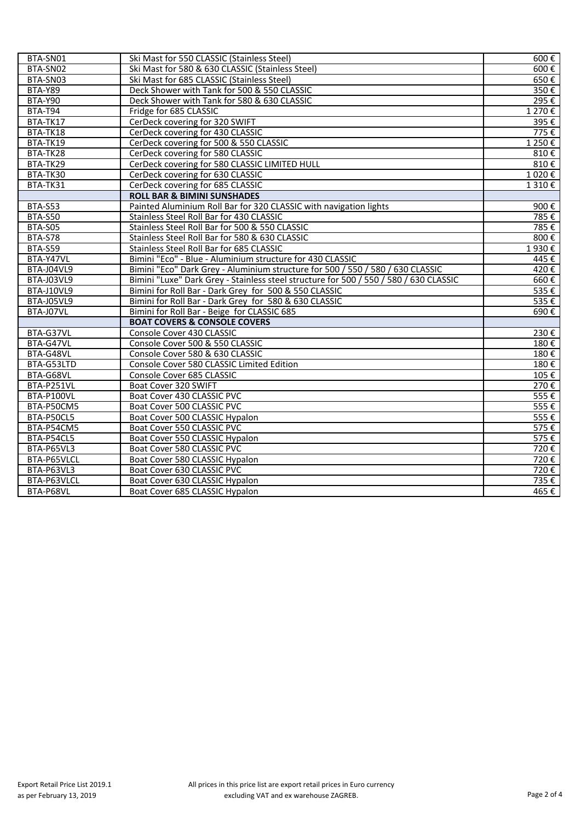| BTA-SN01          | Ski Mast for 550 CLASSIC (Stainless Steel)                                            | 600€                |
|-------------------|---------------------------------------------------------------------------------------|---------------------|
| BTA-SN02          | Ski Mast for 580 & 630 CLASSIC (Stainless Steel)                                      | 600€                |
| BTA-SN03          | Ski Mast for 685 CLASSIC (Stainless Steel)                                            | 650€                |
| <b>BTA-Y89</b>    | Deck Shower with Tank for 500 & 550 CLASSIC                                           | $\overline{350}$ €  |
| <b>BTA-Y90</b>    | Deck Shower with Tank for 580 & 630 CLASSIC                                           | 295€                |
| BTA-T94           | Fridge for 685 CLASSIC                                                                | 1 270€              |
| BTA-TK17          | CerDeck covering for 320 SWIFT                                                        | 395€                |
| BTA-TK18          | CerDeck covering for 430 CLASSIC                                                      | 775€                |
| BTA-TK19          | CerDeck covering for 500 & 550 CLASSIC                                                | 1 250€              |
| BTA-TK28          | CerDeck covering for 580 CLASSIC                                                      | 810€                |
| BTA-TK29          | CerDeck covering for 580 CLASSIC LIMITED HULL                                         | 810 $\epsilon$      |
| BTA-TK30          | CerDeck covering for 630 CLASSIC                                                      | 1 020 €             |
| BTA-TK31          | CerDeck covering for 685 CLASSIC                                                      | $1310 \text{ } \in$ |
|                   | <b>ROLL BAR &amp; BIMINI SUNSHADES</b>                                                |                     |
| <b>BTA-S53</b>    | Painted Aluminium Roll Bar for 320 CLASSIC with navigation lights                     | $900 \epsilon$      |
| <b>BTA-S50</b>    | Stainless Steel Roll Bar for 430 CLASSIC                                              | 785€                |
| <b>BTA-S05</b>    | Stainless Steel Roll Bar for 500 & 550 CLASSIC                                        | 785€                |
| <b>BTA-S78</b>    | Stainless Steel Roll Bar for 580 & 630 CLASSIC                                        | 800€                |
| <b>BTA-S59</b>    | Stainless Steel Roll Bar for 685 CLASSIC                                              | 1930€               |
| BTA-Y47VL         | Bimini "Eco" - Blue - Aluminium structure for 430 CLASSIC                             | 445€                |
| BTA-J04VL9        | Bimini "Eco" Dark Grey - Aluminium structure for 500 / 550 / 580 / 630 CLASSIC        | 420€                |
| BTA-J03VL9        | Bimini "Luxe" Dark Grey - Stainless steel structure for 500 / 550 / 580 / 630 CLASSIC | 660€                |
| BTA-J10VL9        | Bimini for Roll Bar - Dark Grey for 500 & 550 CLASSIC                                 | 535€                |
| <b>BTA-J05VL9</b> | Bimini for Roll Bar - Dark Grey for 580 & 630 CLASSIC                                 | $535 \epsilon$      |
| BTA-J07VL         | Bimini for Roll Bar - Beige for CLASSIC 685                                           | 690€                |
|                   | <b>BOAT COVERS &amp; CONSOLE COVERS</b>                                               |                     |
| BTA-G37VL         | Console Cover 430 CLASSIC                                                             | $230 \text{ } \in$  |
| BTA-G47VL         | Console Cover 500 & 550 CLASSIC                                                       | 180€                |
| BTA-G48VL         | Console Cover 580 & 630 CLASSIC                                                       | $180 \text{ } \in$  |
| BTA-G53LTD        | Console Cover 580 CLASSIC Limited Edition                                             | 180€                |
| BTA-G68VL         | Console Cover 685 CLASSIC                                                             | $105 \text{ E}$     |
| BTA-P251VL        | Boat Cover 320 SWIFT                                                                  | $270 \text{ } \in$  |
| BTA-P100VL        | Boat Cover 430 CLASSIC PVC                                                            | 555€                |
| BTA-P50CM5        | Boat Cover 500 CLASSIC PVC                                                            | 555€                |
| BTA-P50CL5        | Boat Cover 500 CLASSIC Hypalon                                                        | 555€                |
| BTA-P54CM5        | Boat Cover 550 CLASSIC PVC                                                            | $575 \in$           |
| BTA-P54CL5        | Boat Cover 550 CLASSIC Hypalon                                                        | $575 \epsilon$      |
| BTA-P65VL3        | Boat Cover 580 CLASSIC PVC                                                            | 720€                |
| BTA-P65VLCL       | Boat Cover 580 CLASSIC Hypalon                                                        | 720€                |
| BTA-P63VL3        | Boat Cover 630 CLASSIC PVC                                                            | 720€                |
| BTA-P63VLCL       | Boat Cover 630 CLASSIC Hypalon                                                        | 735€                |
| BTA-P68VL         | Boat Cover 685 CLASSIC Hypalon                                                        | 465€                |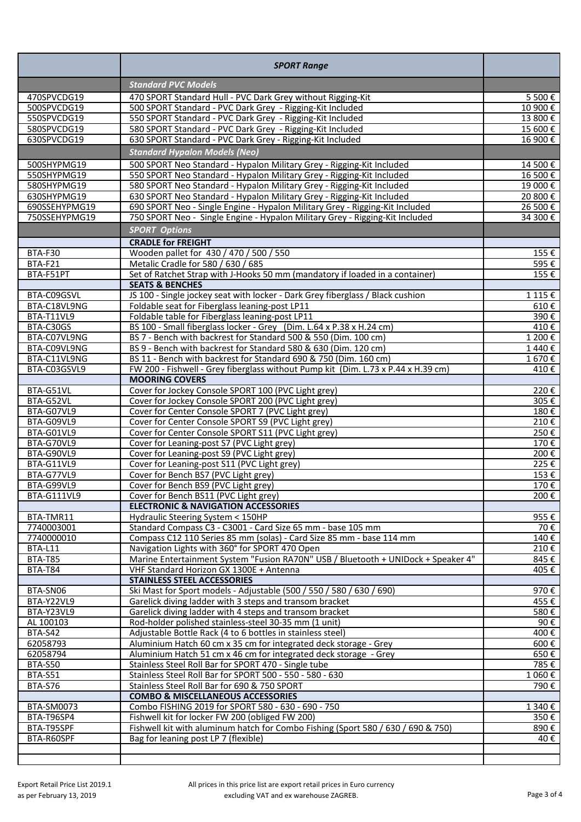|                            | <b>SPORT Range</b>                                                                                                                             |                               |
|----------------------------|------------------------------------------------------------------------------------------------------------------------------------------------|-------------------------------|
|                            | <b>Standard PVC Models</b>                                                                                                                     |                               |
| 470SPVCDG19                | 470 SPORT Standard Hull - PVC Dark Grey without Rigging-Kit                                                                                    | 5 500€                        |
| 500SPVCDG19                | 500 SPORT Standard - PVC Dark Grey - Rigging-Kit Included                                                                                      | 10 900 €                      |
| 550SPVCDG19                | 550 SPORT Standard - PVC Dark Grey - Rigging-Kit Included                                                                                      | 13 800 €                      |
| 580SPVCDG19                | 580 SPORT Standard - PVC Dark Grey - Rigging-Kit Included                                                                                      | 15 600€                       |
| 630SPVCDG19                | 630 SPORT Standard - PVC Dark Grey - Rigging-Kit Included                                                                                      | 16 900 €                      |
|                            | <b>Standard Hypalon Models (Neo)</b>                                                                                                           |                               |
| 500SHYPMG19                | 500 SPORT Neo Standard - Hypalon Military Grey - Rigging-Kit Included                                                                          | 14 500 €                      |
| 550SHYPMG19<br>580SHYPMG19 | 550 SPORT Neo Standard - Hypalon Military Grey - Rigging-Kit Included<br>580 SPORT Neo Standard - Hypalon Military Grey - Rigging-Kit Included | 16 500 €<br>19 000€           |
| 630SHYPMG19                | 630 SPORT Neo Standard - Hypalon Military Grey - Rigging-Kit Included                                                                          | 20 800€                       |
| 690SSEHYPMG19              | 690 SPORT Neo - Single Engine - Hypalon Military Grey - Rigging-Kit Included                                                                   | 26 500€                       |
| 750SSEHYPMG19              | 750 SPORT Neo - Single Engine - Hypalon Military Grey - Rigging-Kit Included                                                                   | 34 300 €                      |
|                            | <b>SPORT Options</b>                                                                                                                           |                               |
|                            | <b>CRADLE for FREIGHT</b>                                                                                                                      |                               |
| BTA-F30                    | Wooden pallet for 430 / 470 / 500 / 550                                                                                                        | 155€                          |
| BTA-F21                    | Metalic Cradle for 580 / 630 / 685                                                                                                             | 595€                          |
| BTA-F51PT                  | Set of Ratchet Strap with J-Hooks 50 mm (mandatory if loaded in a container)                                                                   | 155€                          |
|                            | <b>SEATS &amp; BENCHES</b>                                                                                                                     |                               |
| BTA-C09GSVL                | JS 100 - Single jockey seat with locker - Dark Grey fiberglass / Black cushion<br>Foldable seat for Fiberglass leaning-post LP11               | 1 115 €<br>$610 \text{ } \in$ |
| BTA-C18VL9NG<br>BTA-T11VL9 | Foldable table for Fiberglass leaning-post LP11                                                                                                | 390€                          |
| BTA-C30GS                  | BS 100 - Small fiberglass locker - Grey (Dim. L.64 x P.38 x H.24 cm)                                                                           | 410€                          |
| BTA-C07VL9NG               | BS 7 - Bench with backrest for Standard 500 & 550 (Dim. 100 cm)                                                                                | 1 200€                        |
| BTA-C09VL9NG               | BS 9 - Bench with backrest for Standard 580 & 630 (Dim. 120 cm)                                                                                | 1440€                         |
| BTA-C11VL9NG               | BS 11 - Bench with backrest for Standard 690 & 750 (Dim. 160 cm)                                                                               | 1670€                         |
| BTA-C03GSVL9               | FW 200 - Fishwell - Grey fiberglass without Pump kit (Dim. L.73 x P.44 x H.39 cm)                                                              | 410€                          |
|                            | <b>MOORING COVERS</b>                                                                                                                          |                               |
| BTA-G51VL                  | Cover for Jockey Console SPORT 100 (PVC Light grey)                                                                                            | $\overline{220}$ €            |
| BTA-G52VL<br>BTA-G07VL9    | Cover for Jockey Console SPORT 200 (PVC Light grey)                                                                                            | 305€<br>180€                  |
| BTA-G09VL9                 | Cover for Center Console SPORT 7 (PVC Light grey)<br>Cover for Center Console SPORT S9 (PVC Light grey)                                        | 210€                          |
| BTA-G01VL9                 | Cover for Center Console SPORT S11 (PVC Light grey)                                                                                            | 250€                          |
| BTA-G70VL9                 | Cover for Leaning-post S7 (PVC Light grey)                                                                                                     | 170€                          |
| BTA-G90VL9                 | Cover for Leaning-post S9 (PVC Light grey)                                                                                                     | 200€                          |
| BTA-G11VL9                 | Cover for Leaning-post S11 (PVC Light grey)                                                                                                    | 225€                          |
| BTA-G77VL9                 | Cover for Bench BS7 (PVC Light grey)                                                                                                           | 153€                          |
| BTA-G99VL9                 | Cover for Bench BS9 (PVC Light grey)                                                                                                           | 170€                          |
| BTA-G111VL9                | Cover for Bench BS11 (PVC Light grey)<br><b>ELECTRONIC &amp; NAVIGATION ACCESSORIES</b>                                                        | 200€                          |
| BTA-TMR11                  | Hydraulic Steering System < 150HP                                                                                                              | 955€                          |
| 7740003001                 | Standard Compass C3 - C3001 - Card Size 65 mm - base 105 mm                                                                                    | 70€                           |
| 7740000010                 | Compass C12 110 Series 85 mm (solas) - Card Size 85 mm - base 114 mm                                                                           | 140€                          |
| BTA-L11                    | Navigation Lights with 360° for SPORT 470 Open                                                                                                 | 210€                          |
| <b>BTA-T85</b>             | Marine Entertainment System "Fusion RA70N" USB / Bluetooth + UNIDock + Speaker 4"                                                              | 845€                          |
| <b>BTA-T84</b>             | VHF Standard Horizon GX 1300E + Antenna                                                                                                        | 405€                          |
|                            | <b>STAINLESS STEEL ACCESSORIES</b>                                                                                                             |                               |
| BTA-SN06<br>BTA-Y22VL9     | Ski Mast for Sport models - Adjustable (500 / 550 / 580 / 630 / 690)<br>Garelick diving ladder with 3 steps and transom bracket                | 970€<br>455€                  |
| BTA-Y23VL9                 | Garelick diving ladder with 4 steps and transom bracket                                                                                        | 580€                          |
| AL 100103                  | Rod-holder polished stainless-steel 30-35 mm (1 unit)                                                                                          | 90€                           |
| BTA-S42                    | Adjustable Bottle Rack (4 to 6 bottles in stainless steel)                                                                                     | 400€                          |
| 62058793                   | Aluminium Hatch 60 cm x 35 cm for integrated deck storage - Grey                                                                               | 600€                          |
| 62058794                   | Aluminium Hatch 51 cm x 46 cm for integrated deck storage - Grey                                                                               | 650€                          |
| <b>BTA-S50</b>             | Stainless Steel Roll Bar for SPORT 470 - Single tube                                                                                           | 785€                          |
| <b>BTA-S51</b>             | Stainless Steel Roll Bar for SPORT 500 - 550 - 580 - 630                                                                                       | 1 060€                        |
| <b>BTA-S76</b>             | Stainless Steel Roll Bar for 690 & 750 SPORT                                                                                                   | 790€                          |
| BTA-SM0073                 | <b>COMBO &amp; MISCELLANEOUS ACCESSORIES</b><br>Combo FISHING 2019 for SPORT 580 - 630 - 690 - 750                                             | 1 340€                        |
| BTA-T96SP4                 | Fishwell kit for locker FW 200 (obliged FW 200)                                                                                                | 350€                          |
| BTA-T95SPF                 | Fishwell kit with aluminum hatch for Combo Fishing (Sport 580 / 630 / 690 & 750)                                                               | 890€                          |
| BTA-R60SPF                 | Bag for leaning post LP 7 (flexible)                                                                                                           | 40 €                          |
|                            |                                                                                                                                                |                               |
|                            |                                                                                                                                                |                               |